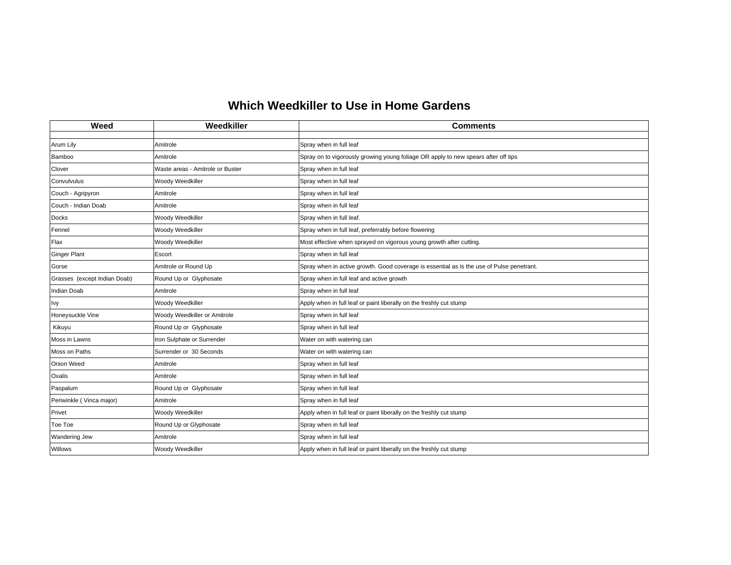## **Which Weedkiller to Use in Home Gardens**

| Weed                         | Weedkiller                       | <b>Comments</b>                                                                           |
|------------------------------|----------------------------------|-------------------------------------------------------------------------------------------|
| Arum Lily                    | Amitrole                         | Spray when in full leaf                                                                   |
| Bamboo                       | Amitrole                         | Spray on to vigorously growing young foliage OR apply to new spears after off tips        |
| Clover                       | Waste areas - Amitrole or Buster | Spray when in full leaf                                                                   |
| Convulvulus                  | Woody Weedkiller                 | Spray when in full leaf                                                                   |
| Couch - Agripyron            | Amitrole                         | Spray when in full leaf                                                                   |
| Couch - Indian Doab          | Amitrole                         | Spray when in full leaf                                                                   |
| Docks                        | Woody Weedkiller                 | Spray when in full leaf.                                                                  |
| Fennel                       | Woody Weedkiller                 | Spray when in full leaf, preferrably before flowering                                     |
| Flax                         | Woody Weedkiller                 | Most effective when sprayed on vigorous young growth after cutting.                       |
| <b>Ginger Plant</b>          | Escort                           | Spray when in full leaf                                                                   |
|                              | Amitrole or Round Up             |                                                                                           |
| Gorse                        |                                  | Spray when in active growth. Good coverage is essential as is the use of Pulse penetrant. |
| Grasses (except Indian Doab) | Round Up or Glyphosate           | Spray when in full leaf and active growth                                                 |
| Indian Doab                  | Amitrole                         | Spray when in full leaf                                                                   |
| <b>Ivy</b>                   | Woody Weedkiller                 | Apply when in full leaf or paint liberally on the freshly cut stump                       |
| Honeysuckle Vine             | Woody Weedkiller or Amitrole     | Spray when in full leaf                                                                   |
| Kikuyu                       | Round Up or Glyphosate           | Spray when in full leaf                                                                   |
| Moss in Lawns                | Iron Sulphate or Surrender       | Water on with watering can                                                                |
| Moss on Paths                | Surrender or 30 Seconds          | Water on with watering can                                                                |
| Onion Weed                   | Amitrole                         | Spray when in full leaf                                                                   |
| Oxalis                       | Amitrole                         | Spray when in full leaf                                                                   |
| Paspalum                     | Round Up or Glyphosate           | Spray when in full leaf                                                                   |
| Periwinkle (Vinca major)     | Amitrole                         | Spray when in full leaf                                                                   |
| Privet                       | Woody Weedkiller                 | Apply when in full leaf or paint liberally on the freshly cut stump                       |
| Toe Toe                      | Round Up or Glyphosate           | Spray when in full leaf                                                                   |
| <b>Wandering Jew</b>         | Amitrole                         | Spray when in full leaf                                                                   |
| <b>Willows</b>               | Woody Weedkiller                 | Apply when in full leaf or paint liberally on the freshly cut stump                       |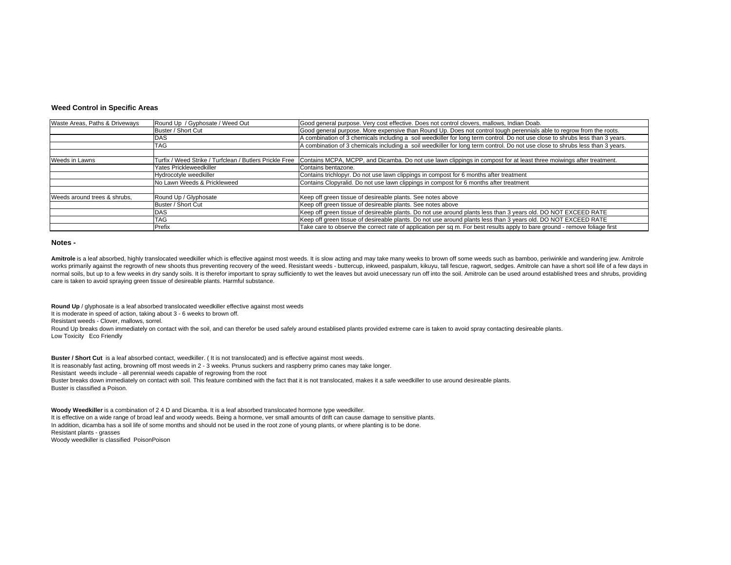## **Weed Control in Specific Areas**

| Waste Areas, Paths & Driveways | Round Up / Gyphosate / Weed Out                         | Good general purpose. Very cost effective. Does not control clovers, mallows, Indian Doab.                                    |
|--------------------------------|---------------------------------------------------------|-------------------------------------------------------------------------------------------------------------------------------|
|                                | Buster / Short Cut                                      | Good general purpose. More expensive than Round Up. Does not control tough perennials able to regrow from the roots.          |
|                                | DAS                                                     | A combination of 3 chemicals including a soil weedkiller for long term control. Do not use close to shrubs less than 3 years. |
|                                | TAG                                                     | A combination of 3 chemicals including a soil weedkiller for long term control. Do not use close to shrubs less than 3 years. |
|                                |                                                         |                                                                                                                               |
| Weeds in Lawns                 | Turfix / Weed Strike / Turfclean / Butlers Prickle Free | Contains MCPA, MCPP, and Dicamba. Do not use lawn clippings in compost for at least three moiwings after treatment.           |
|                                | Yates Prickleweedkiller                                 | Contains bentazone.                                                                                                           |
|                                | Hydrocotyle weedkiller                                  | Contains trichlopyr. Do not use lawn clippings in compost for 6 months after treatment                                        |
|                                | No Lawn Weeds & Prickleweed                             | Contains Clopyralid. Do not use lawn clippings in compost for 6 months after treatment                                        |
|                                |                                                         |                                                                                                                               |
| Weeds around trees & shrubs.   | Round Up / Glyphosate                                   | Keep off green tissue of desireable plants. See notes above                                                                   |
|                                | Buster / Short Cut                                      | Keep off green tissue of desireable plants. See notes above                                                                   |
|                                | DAS                                                     | Keep off green tissue of desireable plants. Do not use around plants less than 3 years old. DO NOT EXCEED RATE                |
|                                | TAG                                                     | Keep off green tissue of desireable plants. Do not use around plants less than 3 years old. DO NOT EXCEED RATE                |
|                                | Prefix                                                  | Take care to observe the correct rate of application per sq m. For best results apply to bare ground - remove foliage first   |

## **Notes -**

Amitrole is a leaf absorbed, highly translocated weedkiller which is effective against most weeds. It is slow acting and may take many weeks to brown off some weeds such as bamboo, periwinkle and wandering jew. Amitrole works primarily against the regrowth of new shoots thus preventing recovery of the weed. Resistant weeds - buttercup, inkweed, paspalum, kikuyu, tall fescue, ragwort, sedges. Amitrole can have a short soil life of a few da normal soils, but up to a few weeks in dry sandy soils. It is therefor important to spray sufficiently to wet the leaves but avoid unecessary run off into the soil. Amitrole can be used around established trees and shrubs, care is taken to avoid spraying green tissue of desireable plants. Harmful substance.

**Round Up** / glyphosate is a leaf absorbed translocated weedkiller effective against most weeds It is moderate in speed of action, taking about 3 - 6 weeks to brown off. Resistant weeds - Clover, mallows, sorrel. Round Up breaks down immediately on contact with the soil, and can therefor be used safely around establised plants provided extreme care is taken to avoid spray contacting desireable plants. Low Toxicity Eco Friendly

**Buster / Short Cut** is a leaf absorbed contact, weedkiller. ( It is not translocated) and is effective against most weeds. It is reasonably fast acting, browning off most weeds in 2 - 3 weeks. Prunus suckers and raspberry primo canes may take longer. Resistant weeds include - all perennial weeds capable of regrowing from the root Buster breaks down immediately on contact with soil. This feature combined with the fact that it is not translocated, makes it a safe weedkiller to use around desireable plants. Buster is classified a Poison.

**Woody Weedkiller** is a combination of 2 4 D and Dicamba. It is a leaf absorbed translocated hormone type weedkiller. It is effective on a wide range of broad leaf and woody weeds. Being a hormone, ver small amounts of drift can cause damage to sensitive plants. In addition, dicamba has a soil life of some months and should not be used in the root zone of young plants, or where planting is to be done. Resistant plants - grasses Woody weedkiller is classified PoisonPoison